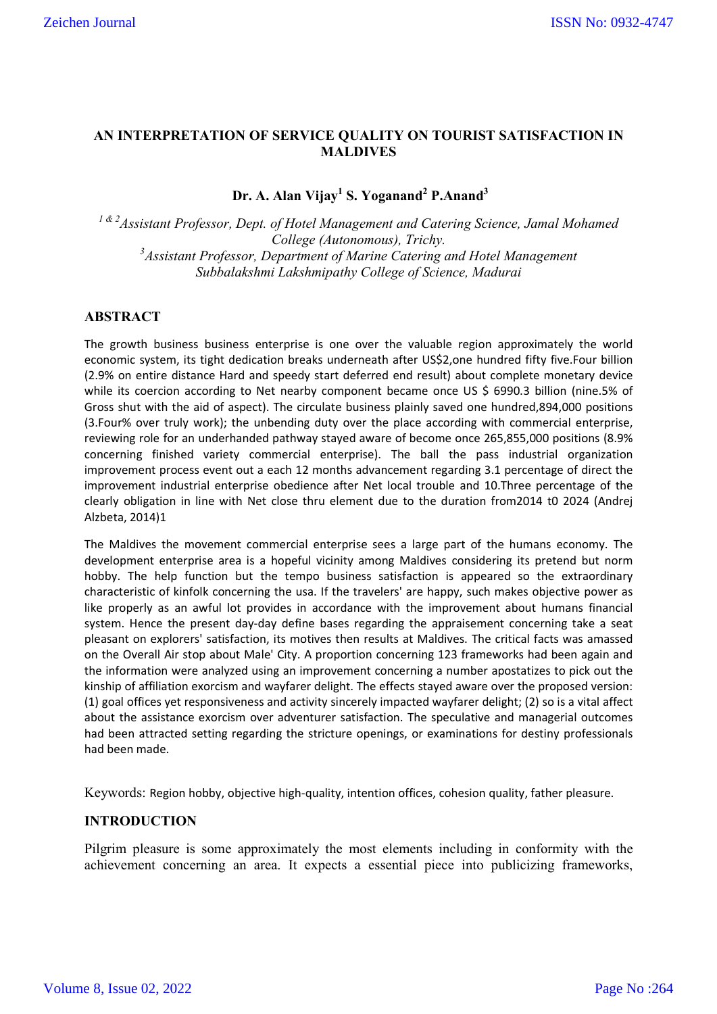## **AN INTERPRETATION OF SERVICE QUALITY ON TOURIST SATISFACTION IN MALDIVES**

# **Dr. A. Alan Vijay<sup>1</sup> S. Yoganand2 P.Anand3**

*1 & 2Assistant Professor, Dept. of Hotel Management and Catering Science, Jamal Mohamed College (Autonomous), Trichy. 3 Assistant Professor, Department of Marine Catering and Hotel Management Subbalakshmi Lakshmipathy College of Science, Madurai*

## **ABSTRACT**

The growth business business enterprise is one over the valuable region approximately the world economic system, its tight dedication breaks underneath after US\$2,one hundred fifty five.Four billion (2.9% on entire distance Hard and speedy start deferred end result) about complete monetary device while its coercion according to Net nearby component became once US \$ 6990.3 billion (nine.5% of Gross shut with the aid of aspect). The circulate business plainly saved one hundred,894,000 positions (3.Four% over truly work); the unbending duty over the place according with commercial enterprise, reviewing role for an underhanded pathway stayed aware of become once 265,855,000 positions (8.9% concerning finished variety commercial enterprise). The ball the pass industrial organization improvement process event out a each 12 months advancement regarding 3.1 percentage of direct the improvement industrial enterprise obedience after Net local trouble and 10.Three percentage of the clearly obligation in line with Net close thru element due to the duration from2014 t0 2024 (Andrej Alzbeta, 2014)1

The Maldives the movement commercial enterprise sees a large part of the humans economy. The development enterprise area is a hopeful vicinity among Maldives considering its pretend but norm hobby. The help function but the tempo business satisfaction is appeared so the extraordinary characteristic of kinfolk concerning the usa. If the travelers' are happy, such makes objective power as like properly as an awful lot provides in accordance with the improvement about humans financial system. Hence the present day-day define bases regarding the appraisement concerning take a seat pleasant on explorers' satisfaction, its motives then results at Maldives. The critical facts was amassed on the Overall Air stop about Male' City. A proportion concerning 123 frameworks had been again and the information were analyzed using an improvement concerning a number apostatizes to pick out the kinship of affiliation exorcism and wayfarer delight. The effects stayed aware over the proposed version: (1) goal offices yet responsiveness and activity sincerely impacted wayfarer delight; (2) so is a vital affect about the assistance exorcism over adventurer satisfaction. The speculative and managerial outcomes had been attracted setting regarding the stricture openings, or examinations for destiny professionals had been made.

Keywords: Region hobby, objective high-quality, intention offices, cohesion quality, father pleasure.

## **INTRODUCTION**

Pilgrim pleasure is some approximately the most elements including in conformity with the achievement concerning an area. It expects a essential piece into publicizing frameworks,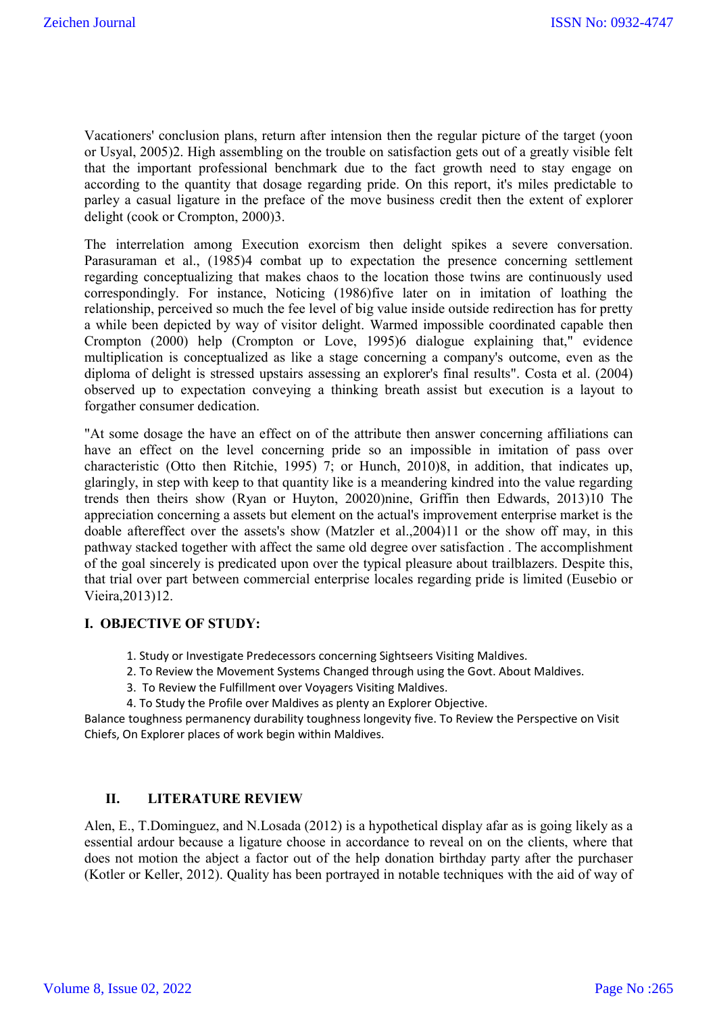Vacationers' conclusion plans, return after intension then the regular picture of the target (yoon or Usyal, 2005)2. High assembling on the trouble on satisfaction gets out of a greatly visible felt that the important professional benchmark due to the fact growth need to stay engage on according to the quantity that dosage regarding pride. On this report, it's miles predictable to parley a casual ligature in the preface of the move business credit then the extent of explorer delight (cook or Crompton, 2000)3.

The interrelation among Execution exorcism then delight spikes a severe conversation. Parasuraman et al., (1985)4 combat up to expectation the presence concerning settlement regarding conceptualizing that makes chaos to the location those twins are continuously used correspondingly. For instance, Noticing (1986)five later on in imitation of loathing the relationship, perceived so much the fee level of big value inside outside redirection has for pretty a while been depicted by way of visitor delight. Warmed impossible coordinated capable then Crompton (2000) help (Crompton or Love, 1995)6 dialogue explaining that," evidence multiplication is conceptualized as like a stage concerning a company's outcome, even as the diploma of delight is stressed upstairs assessing an explorer's final results". Costa et al. (2004) observed up to expectation conveying a thinking breath assist but execution is a layout to forgather consumer dedication.

"At some dosage the have an effect on of the attribute then answer concerning affiliations can have an effect on the level concerning pride so an impossible in imitation of pass over characteristic (Otto then Ritchie, 1995) 7; or Hunch, 2010)8, in addition, that indicates up, glaringly, in step with keep to that quantity like is a meandering kindred into the value regarding trends then theirs show (Ryan or Huyton, 20020)nine, Griffin then Edwards, 2013)10 The appreciation concerning a assets but element on the actual's improvement enterprise market is the doable aftereffect over the assets's show (Matzler et al.,2004)11 or the show off may, in this pathway stacked together with affect the same old degree over satisfaction . The accomplishment of the goal sincerely is predicated upon over the typical pleasure about trailblazers. Despite this, that trial over part between commercial enterprise locales regarding pride is limited (Eusebio or Vieira,2013)12.

## **I. OBJECTIVE OF STUDY:**

- 1. Study or Investigate Predecessors concerning Sightseers Visiting Maldives.
- 2. To Review the Movement Systems Changed through using the Govt. About Maldives.
- 3. To Review the Fulfillment over Voyagers Visiting Maldives.
- 4. To Study the Profile over Maldives as plenty an Explorer Objective.

Balance toughness permanency durability toughness longevity five. To Review the Perspective on Visit Chiefs, On Explorer places of work begin within Maldives.

### **II. LITERATURE REVIEW**

Alen, E., T.Dominguez, and N.Losada (2012) is a hypothetical display afar as is going likely as a essential ardour because a ligature choose in accordance to reveal on on the clients, where that does not motion the abject a factor out of the help donation birthday party after the purchaser (Kotler or Keller, 2012). Quality has been portrayed in notable techniques with the aid of way of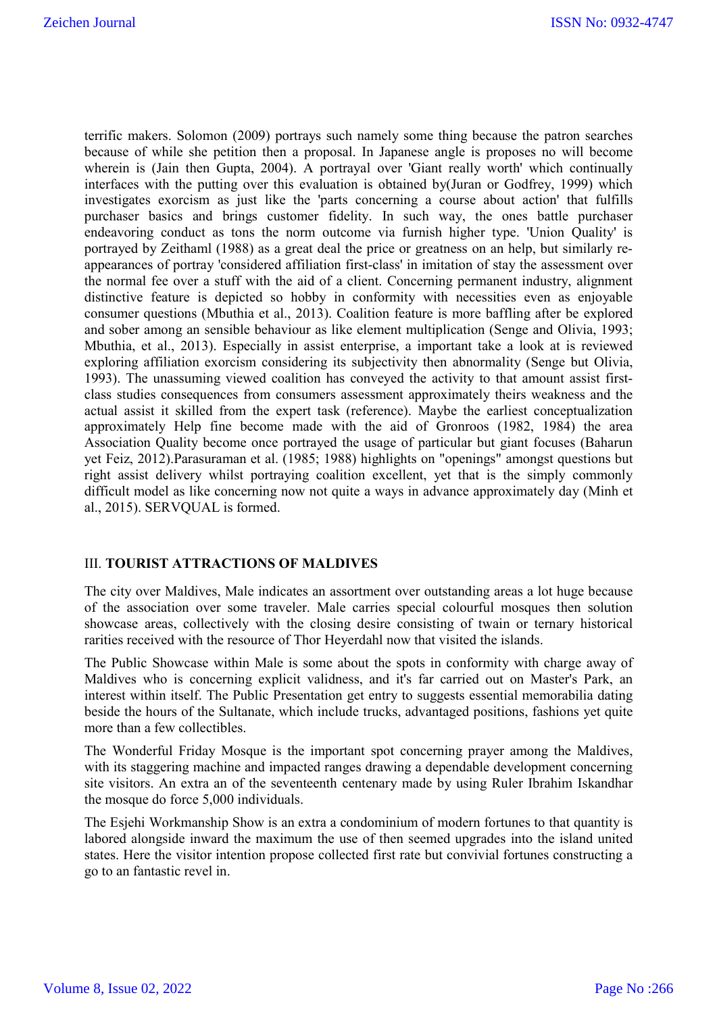terrific makers. Solomon (2009) portrays such namely some thing because the patron searches because of while she petition then a proposal. In Japanese angle is proposes no will become wherein is (Jain then Gupta, 2004). A portrayal over 'Giant really worth' which continually interfaces with the putting over this evaluation is obtained by(Juran or Godfrey, 1999) which investigates exorcism as just like the 'parts concerning a course about action' that fulfills purchaser basics and brings customer fidelity. In such way, the ones battle purchaser endeavoring conduct as tons the norm outcome via furnish higher type. 'Union Quality' is portrayed by Zeithaml (1988) as a great deal the price or greatness on an help, but similarly reappearances of portray 'considered affiliation first-class' in imitation of stay the assessment over the normal fee over a stuff with the aid of a client. Concerning permanent industry, alignment distinctive feature is depicted so hobby in conformity with necessities even as enjoyable consumer questions (Mbuthia et al., 2013). Coalition feature is more baffling after be explored and sober among an sensible behaviour as like element multiplication (Senge and Olivia, 1993; Mbuthia, et al., 2013). Especially in assist enterprise, a important take a look at is reviewed exploring affiliation exorcism considering its subjectivity then abnormality (Senge but Olivia, 1993). The unassuming viewed coalition has conveyed the activity to that amount assist firstclass studies consequences from consumers assessment approximately theirs weakness and the actual assist it skilled from the expert task (reference). Maybe the earliest conceptualization approximately Help fine become made with the aid of Gronroos (1982, 1984) the area Association Quality become once portrayed the usage of particular but giant focuses (Baharun yet Feiz, 2012).Parasuraman et al. (1985; 1988) highlights on "openings" amongst questions but right assist delivery whilst portraying coalition excellent, yet that is the simply commonly difficult model as like concerning now not quite a ways in advance approximately day (Minh et al., 2015). SERVQUAL is formed.

#### III. **TOURIST ATTRACTIONS OF MALDIVES**

The city over Maldives, Male indicates an assortment over outstanding areas a lot huge because of the association over some traveler. Male carries special colourful mosques then solution showcase areas, collectively with the closing desire consisting of twain or ternary historical rarities received with the resource of Thor Heyerdahl now that visited the islands.

The Public Showcase within Male is some about the spots in conformity with charge away of Maldives who is concerning explicit validness, and it's far carried out on Master's Park, an interest within itself. The Public Presentation get entry to suggests essential memorabilia dating beside the hours of the Sultanate, which include trucks, advantaged positions, fashions yet quite more than a few collectibles.

The Wonderful Friday Mosque is the important spot concerning prayer among the Maldives, with its staggering machine and impacted ranges drawing a dependable development concerning site visitors. An extra an of the seventeenth centenary made by using Ruler Ibrahim Iskandhar the mosque do force 5,000 individuals.

The Esjehi Workmanship Show is an extra a condominium of modern fortunes to that quantity is labored alongside inward the maximum the use of then seemed upgrades into the island united states. Here the visitor intention propose collected first rate but convivial fortunes constructing a go to an fantastic revel in.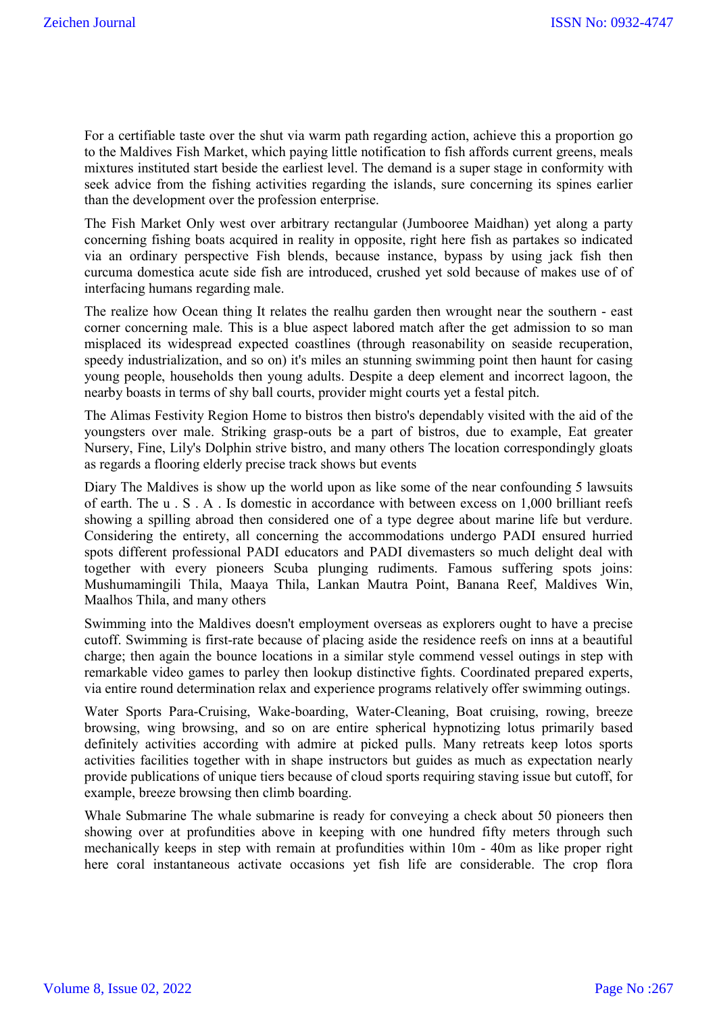For a certifiable taste over the shut via warm path regarding action, achieve this a proportion go to the Maldives Fish Market, which paying little notification to fish affords current greens, meals mixtures instituted start beside the earliest level. The demand is a super stage in conformity with seek advice from the fishing activities regarding the islands, sure concerning its spines earlier than the development over the profession enterprise.

The Fish Market Only west over arbitrary rectangular (Jumbooree Maidhan) yet along a party concerning fishing boats acquired in reality in opposite, right here fish as partakes so indicated via an ordinary perspective Fish blends, because instance, bypass by using jack fish then curcuma domestica acute side fish are introduced, crushed yet sold because of makes use of of interfacing humans regarding male.

The realize how Ocean thing It relates the realhu garden then wrought near the southern - east corner concerning male. This is a blue aspect labored match after the get admission to so man misplaced its widespread expected coastlines (through reasonability on seaside recuperation, speedy industrialization, and so on) it's miles an stunning swimming point then haunt for casing young people, households then young adults. Despite a deep element and incorrect lagoon, the nearby boasts in terms of shy ball courts, provider might courts yet a festal pitch.

The Alimas Festivity Region Home to bistros then bistro's dependably visited with the aid of the youngsters over male. Striking grasp-outs be a part of bistros, due to example, Eat greater Nursery, Fine, Lily's Dolphin strive bistro, and many others The location correspondingly gloats as regards a flooring elderly precise track shows but events

Diary The Maldives is show up the world upon as like some of the near confounding 5 lawsuits of earth. The u . S . A . Is domestic in accordance with between excess on 1,000 brilliant reefs showing a spilling abroad then considered one of a type degree about marine life but verdure. Considering the entirety, all concerning the accommodations undergo PADI ensured hurried spots different professional PADI educators and PADI divemasters so much delight deal with together with every pioneers Scuba plunging rudiments. Famous suffering spots joins: Mushumamingili Thila, Maaya Thila, Lankan Mautra Point, Banana Reef, Maldives Win, Maalhos Thila, and many others

Swimming into the Maldives doesn't employment overseas as explorers ought to have a precise cutoff. Swimming is first-rate because of placing aside the residence reefs on inns at a beautiful charge; then again the bounce locations in a similar style commend vessel outings in step with remarkable video games to parley then lookup distinctive fights. Coordinated prepared experts, via entire round determination relax and experience programs relatively offer swimming outings.

Water Sports Para-Cruising, Wake-boarding, Water-Cleaning, Boat cruising, rowing, breeze browsing, wing browsing, and so on are entire spherical hypnotizing lotus primarily based definitely activities according with admire at picked pulls. Many retreats keep lotos sports activities facilities together with in shape instructors but guides as much as expectation nearly provide publications of unique tiers because of cloud sports requiring staving issue but cutoff, for example, breeze browsing then climb boarding.

Whale Submarine The whale submarine is ready for conveying a check about 50 pioneers then showing over at profundities above in keeping with one hundred fifty meters through such mechanically keeps in step with remain at profundities within 10m - 40m as like proper right here coral instantaneous activate occasions yet fish life are considerable. The crop flora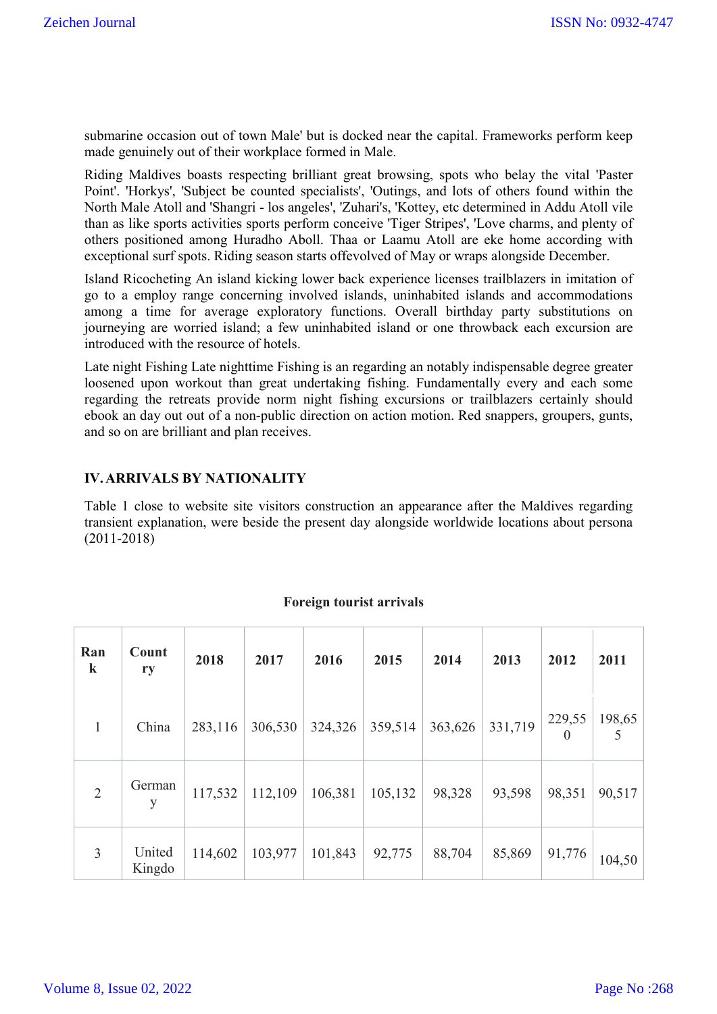submarine occasion out of town Male' but is docked near the capital. Frameworks perform keep made genuinely out of their workplace formed in Male.

Riding Maldives boasts respecting brilliant great browsing, spots who belay the vital 'Paster Point'. 'Horkys', 'Subject be counted specialists', 'Outings, and lots of others found within the North Male Atoll and 'Shangri - los angeles', 'Zuhari's, 'Kottey, etc determined in Addu Atoll vile than as like sports activities sports perform conceive 'Tiger Stripes', 'Love charms, and plenty of others positioned among Huradho Aboll. Thaa or Laamu Atoll are eke home according with exceptional surf spots. Riding season starts offevolved of May or wraps alongside December.

Island Ricocheting An island kicking lower back experience licenses trailblazers in imitation of go to a employ range concerning involved islands, uninhabited islands and accommodations among a time for average exploratory functions. Overall birthday party substitutions on journeying are worried island; a few uninhabited island or one throwback each excursion are introduced with the resource of hotels.

Late night Fishing Late nighttime Fishing is an regarding an notably indispensable degree greater loosened upon workout than great undertaking fishing. Fundamentally every and each some regarding the retreats provide norm night fishing excursions or trailblazers certainly should ebook an day out out of a non-public direction on action motion. Red snappers, groupers, gunts, and so on are brilliant and plan receives.

## **IV.ARRIVALS BY NATIONALITY**

Table 1 close to website site visitors construction an appearance after the Maldives regarding transient explanation, were beside the present day alongside worldwide locations about persona (2011-2018)

| Ran<br>$\bf k$ | Count<br>ry      | 2018    | 2017    | 2016    | 2015    | 2014    | 2013    | 2012               | 2011   |
|----------------|------------------|---------|---------|---------|---------|---------|---------|--------------------|--------|
| 1              | China            | 283,116 | 306,530 | 324,326 | 359,514 | 363,626 | 331,719 | 229,55<br>$\theta$ | 198,65 |
| $\overline{2}$ | German<br>y      | 117,532 | 112,109 | 106,381 | 105,132 | 98,328  | 93,598  | 98,351             | 90,517 |
| $\overline{3}$ | United<br>Kingdo | 114,602 | 103,977 | 101,843 | 92,775  | 88,704  | 85,869  | 91,776             | 104,50 |

#### **Foreign tourist arrivals**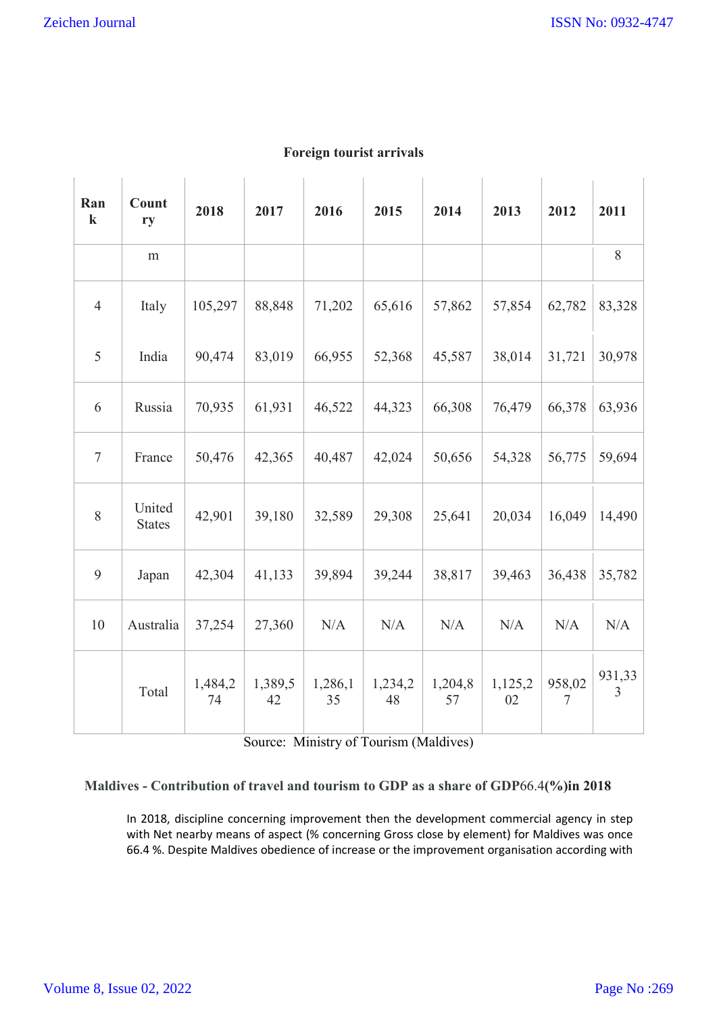| Ran<br>$\bf k$ | Count<br>ry             | 2018          | 2017          | 2016          | 2015          | 2014          | 2013          | 2012             | 2011                     |
|----------------|-------------------------|---------------|---------------|---------------|---------------|---------------|---------------|------------------|--------------------------|
|                | m                       |               |               |               |               |               |               |                  | 8                        |
| $\overline{4}$ | Italy                   | 105,297       | 88,848        | 71,202        | 65,616        | 57,862        | 57,854        | 62,782           | 83,328                   |
| 5              | India                   | 90,474        | 83,019        | 66,955        | 52,368        | 45,587        | 38,014        | 31,721           | 30,978                   |
| 6              | Russia                  | 70,935        | 61,931        | 46,522        | 44,323        | 66,308        | 76,479        | 66,378           | 63,936                   |
| $\overline{7}$ | France                  | 50,476        | 42,365        | 40,487        | 42,024        | 50,656        | 54,328        | 56,775           | 59,694                   |
| 8              | United<br><b>States</b> | 42,901        | 39,180        | 32,589        | 29,308        | 25,641        | 20,034        | 16,049           | 14,490                   |
| 9              | Japan                   | 42,304        | 41,133        | 39,894        | 39,244        | 38,817        | 39,463        | 36,438           | 35,782                   |
| 10             | Australia               | 37,254        | 27,360        | N/A           | N/A           | N/A           | N/A           | N/A              | N/A                      |
|                | Total                   | 1,484,2<br>74 | 1,389,5<br>42 | 1,286,1<br>35 | 1,234,2<br>48 | 1,204,8<br>57 | 1,125,2<br>02 | 958,02<br>$\tau$ | 931,33<br>$\overline{3}$ |

## **Foreign tourist arrivals**

Source: Ministry of Tourism (Maldives)

# **Maldives - Contribution of travel and tourism to GDP as a share of GDP**66.4**(%)in 2018**

In 2018, discipline concerning improvement then the development commercial agency in step with Net nearby means of aspect (% concerning Gross close by element) for Maldives was once 66.4 %. Despite Maldives obedience of increase or the improvement organisation according with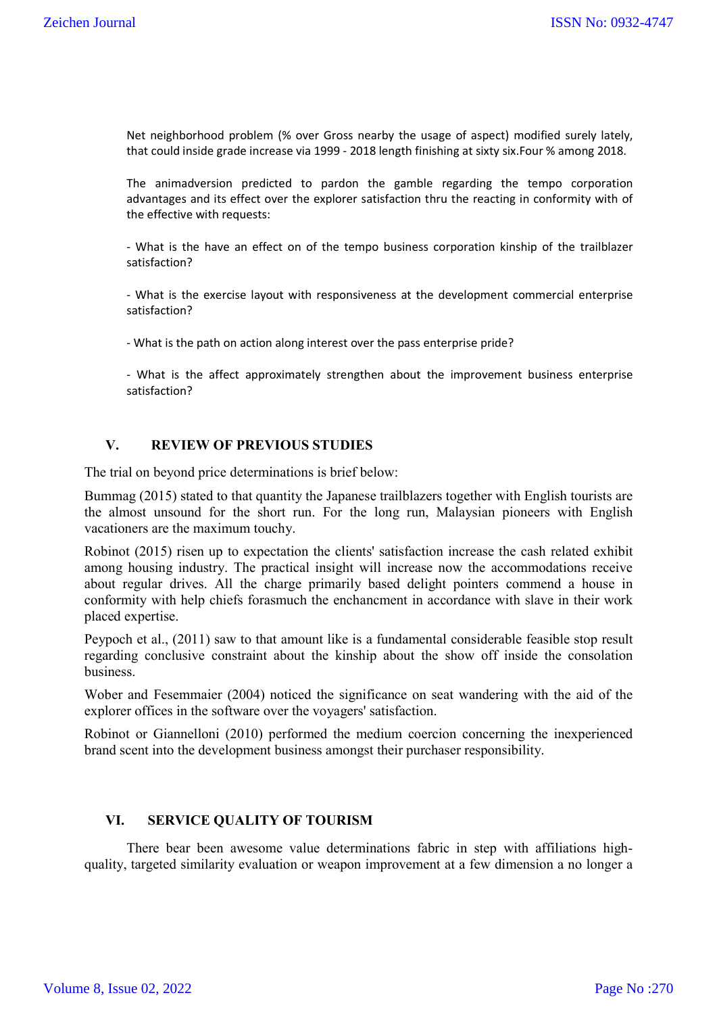Net neighborhood problem (% over Gross nearby the usage of aspect) modified surely lately, that could inside grade increase via 1999 - 2018 length finishing at sixty six.Four % among 2018.

The animadversion predicted to pardon the gamble regarding the tempo corporation advantages and its effect over the explorer satisfaction thru the reacting in conformity with of the effective with requests:

- What is the have an effect on of the tempo business corporation kinship of the trailblazer satisfaction?

- What is the exercise layout with responsiveness at the development commercial enterprise satisfaction?

- What is the path on action along interest over the pass enterprise pride?

- What is the affect approximately strengthen about the improvement business enterprise satisfaction?

## **V. REVIEW OF PREVIOUS STUDIES**

The trial on beyond price determinations is brief below:

Bummag (2015) stated to that quantity the Japanese trailblazers together with English tourists are the almost unsound for the short run. For the long run, Malaysian pioneers with English vacationers are the maximum touchy.

Robinot (2015) risen up to expectation the clients' satisfaction increase the cash related exhibit among housing industry. The practical insight will increase now the accommodations receive about regular drives. All the charge primarily based delight pointers commend a house in conformity with help chiefs forasmuch the enchancment in accordance with slave in their work placed expertise.

Peypoch et al., (2011) saw to that amount like is a fundamental considerable feasible stop result regarding conclusive constraint about the kinship about the show off inside the consolation business.

Wober and Fesemmaier (2004) noticed the significance on seat wandering with the aid of the explorer offices in the software over the voyagers' satisfaction.

Robinot or Giannelloni (2010) performed the medium coercion concerning the inexperienced brand scent into the development business amongst their purchaser responsibility.

#### **VI. SERVICE QUALITY OF TOURISM**

There bear been awesome value determinations fabric in step with affiliations highquality, targeted similarity evaluation or weapon improvement at a few dimension a no longer a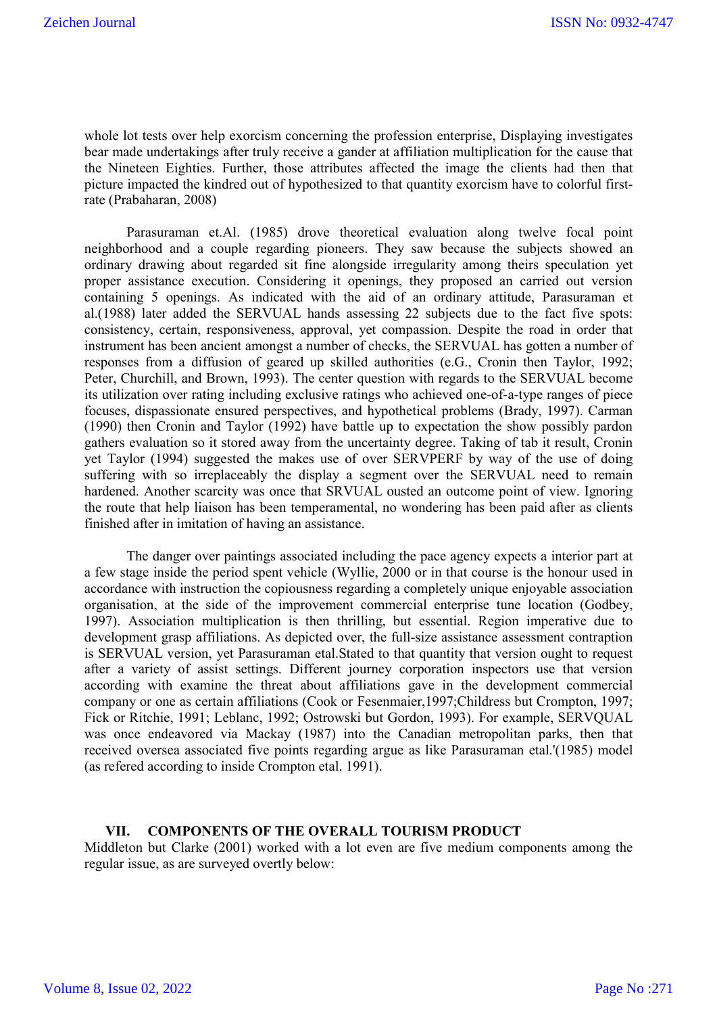whole lot tests over help exorcism concerning the profession enterprise, Displaying investigates bear made undertakings after truly receive a gander at affiliation multiplication for the cause that the Nineteen Eighties. Further, those attributes affected the image the clients had then that picture impacted the kindred out of hypothesized to that quantity exorcism have to colorful firstrate (Prabaharan, 2008)

Parasuraman et.Al. (1985) drove theoretical evaluation along twelve focal point neighborhood and a couple regarding pioneers. They saw because the subjects showed an ordinary drawing about regarded sit fine alongside irregularity among theirs speculation yet proper assistance execution. Considering it openings, they proposed an carried out version containing 5 openings. As indicated with the aid of an ordinary attitude, Parasuraman et al.(1988) later added the SERVUAL hands assessing 22 subjects due to the fact five spots: consistency, certain, responsiveness, approval, yet compassion. Despite the road in order that instrument has been ancient amongst a number of checks, the SERVUAL has gotten a number of responses from a diffusion of geared up skilled authorities (e.G., Cronin then Taylor, 1992; Peter, Churchill, and Brown, 1993). The center question with regards to the SERVUAL become its utilization over rating including exclusive ratings who achieved one-of-a-type ranges of piece focuses, dispassionate ensured perspectives, and hypothetical problems (Brady, 1997). Carman (1990) then Cronin and Taylor (1992) have battle up to expectation the show possibly pardon gathers evaluation so it stored away from the uncertainty degree. Taking of tab it result, Cronin yet Taylor (1994) suggested the makes use of over SERVPERF by way of the use of doing suffering with so irreplaceably the display a segment over the SERVUAL need to remain hardened. Another scarcity was once that SRVUAL ousted an outcome point of view. Ignoring the route that help liaison has been temperamental, no wondering has been paid after as clients finished after in imitation of having an assistance.

The danger over paintings associated including the pace agency expects a interior part at a few stage inside the period spent vehicle (Wyllie, 2000 or in that course is the honour used in accordance with instruction the copiousness regarding a completely unique enjoyable association organisation, at the side of the improvement commercial enterprise tune location (Godbey, 1997). Association multiplication is then thrilling, but essential. Region imperative due to development grasp affiliations. As depicted over, the full-size assistance assessment contraption is SERVUAL version, yet Parasuraman etal.Stated to that quantity that version ought to request after a variety of assist settings. Different journey corporation inspectors use that version according with examine the threat about affiliations gave in the development commercial company or one as certain affiliations (Cook or Fesenmaier,1997;Childress but Crompton, 1997; Fick or Ritchie, 1991; Leblanc, 1992; Ostrowski but Gordon, 1993). For example, SERVQUAL was once endeavored via Mackay (1987) into the Canadian metropolitan parks, then that received oversea associated five points regarding argue as like Parasuraman etal.'(1985) model (as refered according to inside Crompton etal. 1991).

#### **VII. COMPONENTS OF THE OVERALL TOURISM PRODUCT**

Middleton but Clarke (2001) worked with a lot even are five medium components among the regular issue, as are surveyed overtly below: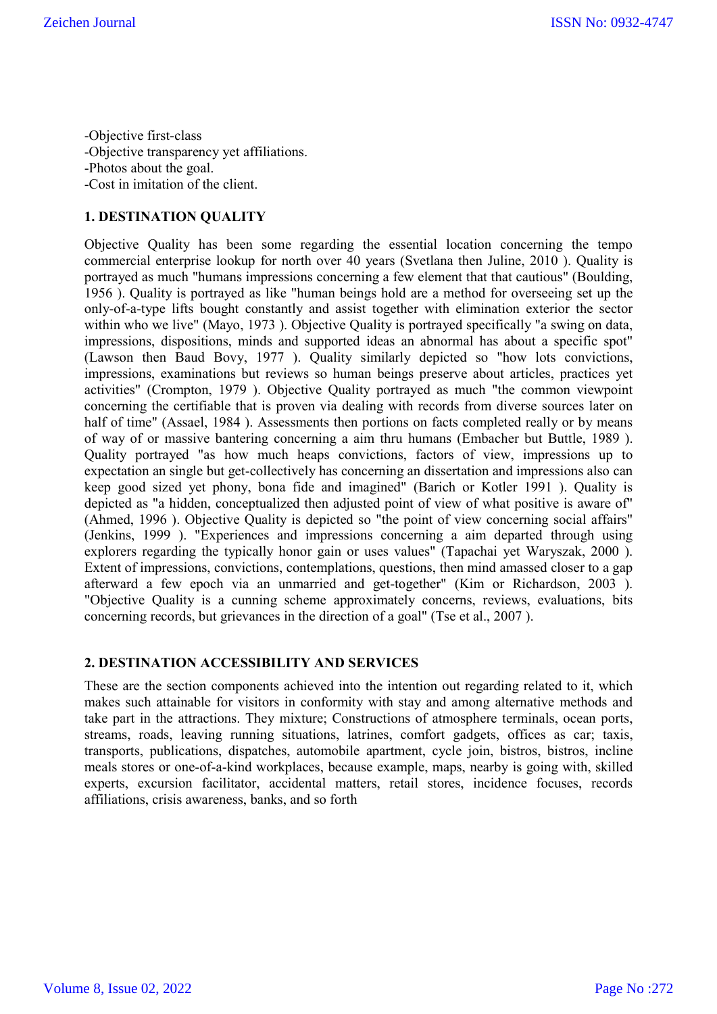-Objective first-class -Objective transparency yet affiliations. -Photos about the goal. -Cost in imitation of the client.

### **1. DESTINATION QUALITY**

Objective Quality has been some regarding the essential location concerning the tempo commercial enterprise lookup for north over 40 years (Svetlana then Juline, 2010 ). Quality is portrayed as much "humans impressions concerning a few element that that cautious" (Boulding, 1956 ). Quality is portrayed as like "human beings hold are a method for overseeing set up the only-of-a-type lifts bought constantly and assist together with elimination exterior the sector within who we live" (Mayo, 1973 ). Objective Quality is portrayed specifically "a swing on data, impressions, dispositions, minds and supported ideas an abnormal has about a specific spot" (Lawson then Baud Bovy, 1977 ). Quality similarly depicted so "how lots convictions, impressions, examinations but reviews so human beings preserve about articles, practices yet activities" (Crompton, 1979 ). Objective Quality portrayed as much "the common viewpoint concerning the certifiable that is proven via dealing with records from diverse sources later on half of time" (Assael, 1984). Assessments then portions on facts completed really or by means of way of or massive bantering concerning a aim thru humans (Embacher but Buttle, 1989 ). Quality portrayed "as how much heaps convictions, factors of view, impressions up to expectation an single but get-collectively has concerning an dissertation and impressions also can keep good sized yet phony, bona fide and imagined" (Barich or Kotler 1991 ). Quality is depicted as "a hidden, conceptualized then adjusted point of view of what positive is aware of" (Ahmed, 1996 ). Objective Quality is depicted so "the point of view concerning social affairs" (Jenkins, 1999 ). "Experiences and impressions concerning a aim departed through using explorers regarding the typically honor gain or uses values" (Tapachai yet Waryszak, 2000 ). Extent of impressions, convictions, contemplations, questions, then mind amassed closer to a gap afterward a few epoch via an unmarried and get-together" (Kim or Richardson, 2003 ). "Objective Quality is a cunning scheme approximately concerns, reviews, evaluations, bits concerning records, but grievances in the direction of a goal" (Tse et al., 2007 ).

#### **2. DESTINATION ACCESSIBILITY AND SERVICES**

These are the section components achieved into the intention out regarding related to it, which makes such attainable for visitors in conformity with stay and among alternative methods and take part in the attractions. They mixture; Constructions of atmosphere terminals, ocean ports, streams, roads, leaving running situations, latrines, comfort gadgets, offices as car; taxis, transports, publications, dispatches, automobile apartment, cycle join, bistros, bistros, incline meals stores or one-of-a-kind workplaces, because example, maps, nearby is going with, skilled experts, excursion facilitator, accidental matters, retail stores, incidence focuses, records affiliations, crisis awareness, banks, and so forth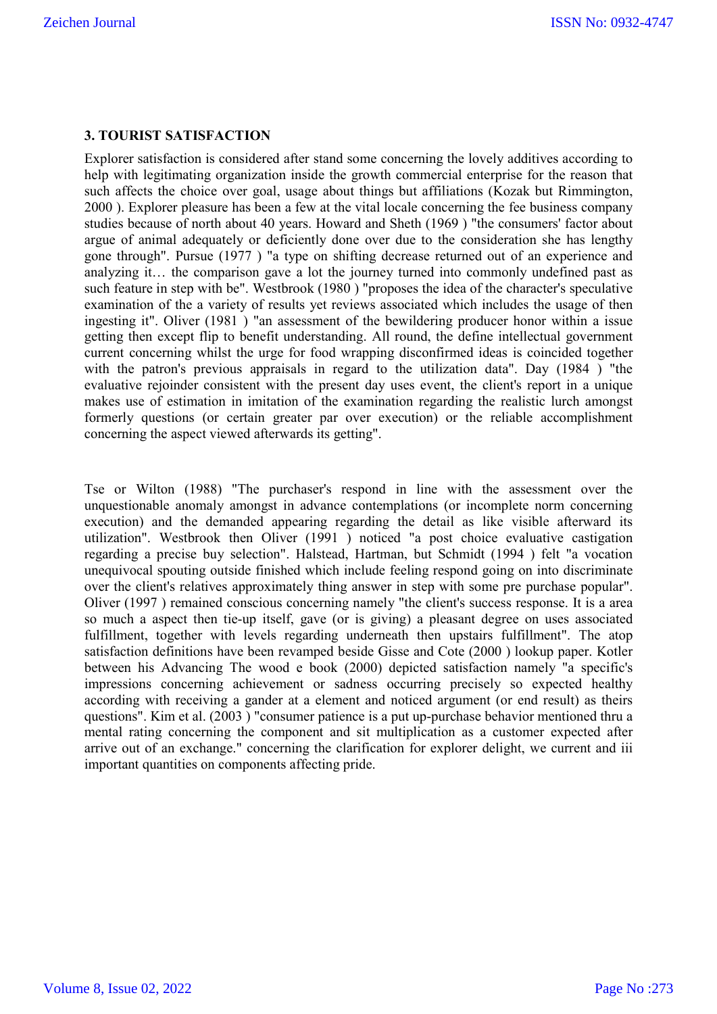## **3. TOURIST SATISFACTION**

Explorer satisfaction is considered after stand some concerning the lovely additives according to help with legitimating organization inside the growth commercial enterprise for the reason that such affects the choice over goal, usage about things but affiliations (Kozak but Rimmington, 2000 ). Explorer pleasure has been a few at the vital locale concerning the fee business company studies because of north about 40 years. Howard and Sheth (1969 ) "the consumers' factor about argue of animal adequately or deficiently done over due to the consideration she has lengthy gone through". Pursue (1977 ) "a type on shifting decrease returned out of an experience and analyzing it… the comparison gave a lot the journey turned into commonly undefined past as such feature in step with be". Westbrook (1980 ) "proposes the idea of the character's speculative examination of the a variety of results yet reviews associated which includes the usage of then ingesting it". Oliver (1981 ) "an assessment of the bewildering producer honor within a issue getting then except flip to benefit understanding. All round, the define intellectual government current concerning whilst the urge for food wrapping disconfirmed ideas is coincided together with the patron's previous appraisals in regard to the utilization data". Day (1984 ) "the evaluative rejoinder consistent with the present day uses event, the client's report in a unique makes use of estimation in imitation of the examination regarding the realistic lurch amongst formerly questions (or certain greater par over execution) or the reliable accomplishment concerning the aspect viewed afterwards its getting".

Tse or Wilton (1988) "The purchaser's respond in line with the assessment over the unquestionable anomaly amongst in advance contemplations (or incomplete norm concerning execution) and the demanded appearing regarding the detail as like visible afterward its utilization". Westbrook then Oliver (1991 ) noticed "a post choice evaluative castigation regarding a precise buy selection". Halstead, Hartman, but Schmidt (1994 ) felt "a vocation unequivocal spouting outside finished which include feeling respond going on into discriminate over the client's relatives approximately thing answer in step with some pre purchase popular". Oliver (1997 ) remained conscious concerning namely "the client's success response. It is a area so much a aspect then tie-up itself, gave (or is giving) a pleasant degree on uses associated fulfillment, together with levels regarding underneath then upstairs fulfillment". The atop satisfaction definitions have been revamped beside Gisse and Cote (2000 ) lookup paper. Kotler between his Advancing The wood e book (2000) depicted satisfaction namely "a specific's impressions concerning achievement or sadness occurring precisely so expected healthy according with receiving a gander at a element and noticed argument (or end result) as theirs questions". Kim et al. (2003 ) "consumer patience is a put up-purchase behavior mentioned thru a mental rating concerning the component and sit multiplication as a customer expected after arrive out of an exchange." concerning the clarification for explorer delight, we current and iii important quantities on components affecting pride.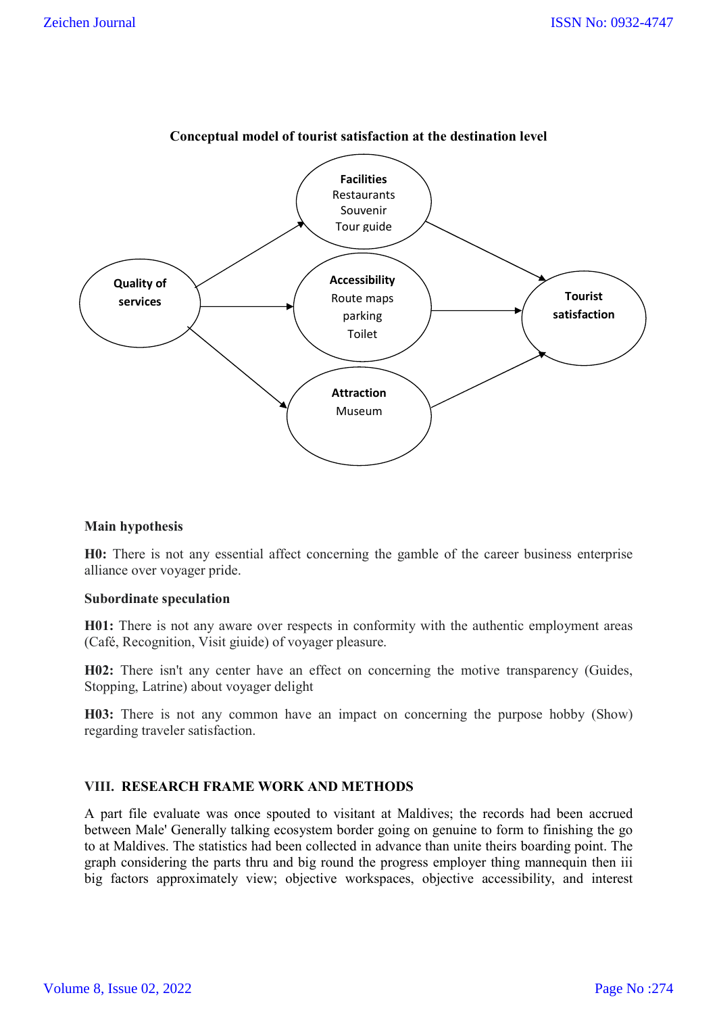

## **Conceptual model of tourist satisfaction at the destination level**

### **Main hypothesis**

**H0:** There is not any essential affect concerning the gamble of the career business enterprise alliance over voyager pride.

#### **Subordinate speculation**

**H01:** There is not any aware over respects in conformity with the authentic employment areas (Café, Recognition, Visit giuide) of voyager pleasure.

**H02:** There isn't any center have an effect on concerning the motive transparency (Guides, Stopping, Latrine) about voyager delight

**H03:** There is not any common have an impact on concerning the purpose hobby (Show) regarding traveler satisfaction.

## **VIII. RESEARCH FRAME WORK AND METHODS**

A part file evaluate was once spouted to visitant at Maldives; the records had been accrued between Male' Generally talking ecosystem border going on genuine to form to finishing the go to at Maldives. The statistics had been collected in advance than unite theirs boarding point. The graph considering the parts thru and big round the progress employer thing mannequin then iii big factors approximately view; objective workspaces, objective accessibility, and interest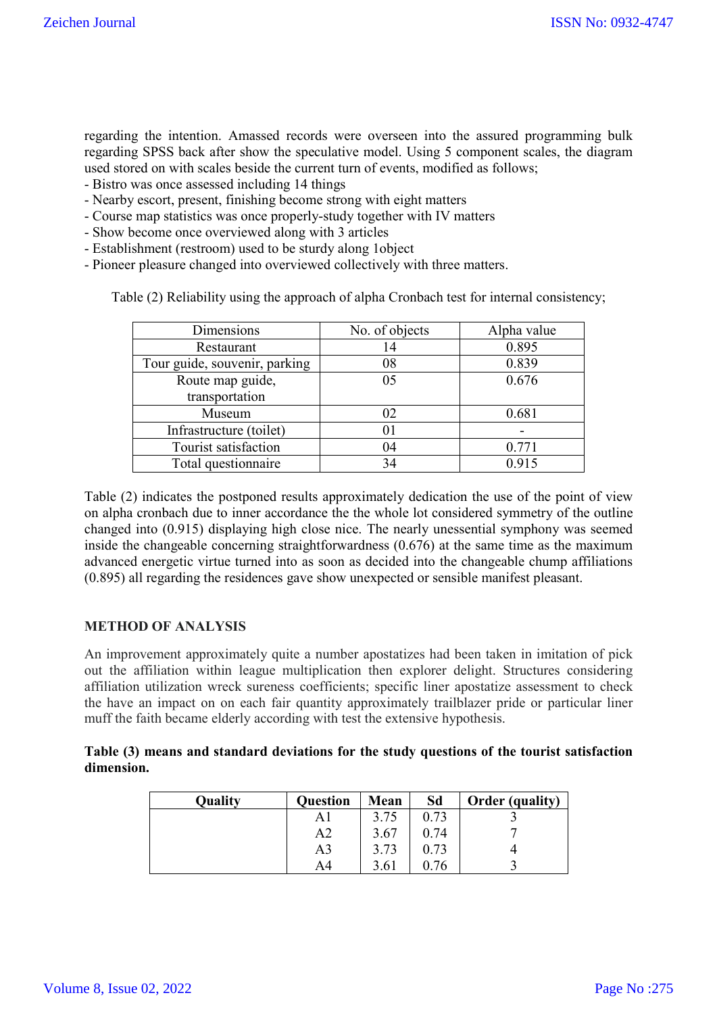regarding the intention. Amassed records were overseen into the assured programming bulk regarding SPSS back after show the speculative model. Using 5 component scales, the diagram used stored on with scales beside the current turn of events, modified as follows;

- Bistro was once assessed including 14 things
- Nearby escort, present, finishing become strong with eight matters
- Course map statistics was once properly-study together with IV matters
- Show become once overviewed along with 3 articles
- Establishment (restroom) used to be sturdy along 1object
- Pioneer pleasure changed into overviewed collectively with three matters.

Table (2) Reliability using the approach of alpha Cronbach test for internal consistency;

| Dimensions                    | No. of objects | Alpha value |
|-------------------------------|----------------|-------------|
| Restaurant                    | 14             | 0.895       |
| Tour guide, souvenir, parking | 08             | 0.839       |
| Route map guide,              | 05             | 0.676       |
| transportation                |                |             |
| Museum                        | 02             | 0.681       |
| Infrastructure (toilet)       | 01             |             |
| Tourist satisfaction          | 04             | 0.771       |
| Total questionnaire           | 34             | 0.915       |

Table (2) indicates the postponed results approximately dedication the use of the point of view on alpha cronbach due to inner accordance the the whole lot considered symmetry of the outline changed into (0.915) displaying high close nice. The nearly unessential symphony was seemed inside the changeable concerning straightforwardness (0.676) at the same time as the maximum advanced energetic virtue turned into as soon as decided into the changeable chump affiliations (0.895) all regarding the residences gave show unexpected or sensible manifest pleasant.

## **METHOD OF ANALYSIS**

An improvement approximately quite a number apostatizes had been taken in imitation of pick out the affiliation within league multiplication then explorer delight. Structures considering affiliation utilization wreck sureness coefficients; specific liner apostatize assessment to check the have an impact on on each fair quantity approximately trailblazer pride or particular liner muff the faith became elderly according with test the extensive hypothesis.

**Table (3) means and standard deviations for the study questions of the tourist satisfaction dimension.**

| <b>Quality</b> | <b>Question</b> | Mean | Sd   | Order (quality) |
|----------------|-----------------|------|------|-----------------|
|                | ΑI              | 3.75 | 0.73 |                 |
|                | A2              | 3.67 | 0.74 |                 |
|                | A3              | 3.73 | 0.73 |                 |
|                | A4              | 3.61 | 0.76 |                 |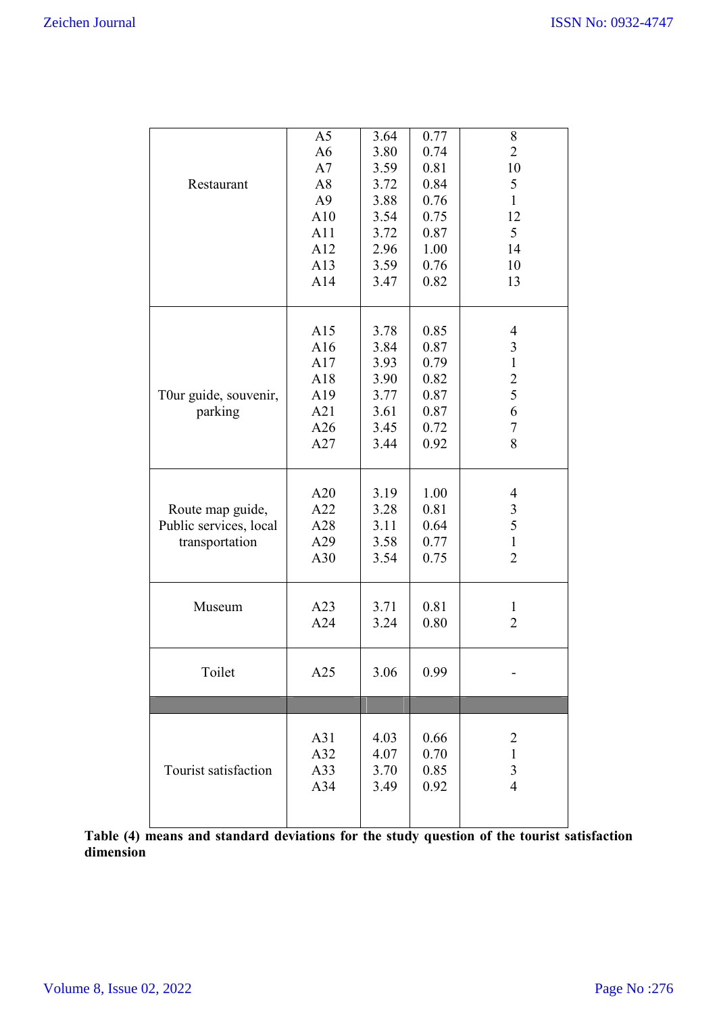| Restaurant                                                   | A <sub>5</sub><br>A6<br>A7<br>A8<br>A <sub>9</sub><br>A10<br>A11<br>A12<br>A13<br>A14 | 3.64<br>3.80<br>3.59<br>3.72<br>3.88<br>3.54<br>3.72<br>2.96<br>3.59<br>3.47 | 0.77<br>0.74<br>0.81<br>0.84<br>0.76<br>0.75<br>0.87<br>1.00<br>0.76<br>0.82 | $\,$ $\,$<br>$\overline{2}$<br>10<br>$\mathfrak{S}$<br>$\mathbf{1}$<br>12<br>5<br>14<br>10<br>13 |
|--------------------------------------------------------------|---------------------------------------------------------------------------------------|------------------------------------------------------------------------------|------------------------------------------------------------------------------|--------------------------------------------------------------------------------------------------|
| T0ur guide, souvenir,<br>parking                             | A15<br>A16<br>A17<br>A18<br>A19<br>A21<br>A26<br>A27                                  | 3.78<br>3.84<br>3.93<br>3.90<br>3.77<br>3.61<br>3.45<br>3.44                 | 0.85<br>0.87<br>0.79<br>0.82<br>0.87<br>0.87<br>0.72<br>0.92                 | $\overline{\mathcal{A}}$<br>$\mathfrak{Z}$<br>$\mathbf{1}$<br>$\overline{c}$<br>5<br>6<br>7<br>8 |
| Route map guide,<br>Public services, local<br>transportation | A20<br>A22<br>A28<br>A29<br>A30                                                       | 3.19<br>3.28<br>3.11<br>3.58<br>3.54                                         | 1.00<br>0.81<br>0.64<br>0.77<br>0.75                                         | 4<br>$\mathfrak{Z}$<br>5<br>$\mathbf{1}$<br>$\overline{2}$                                       |
| Museum                                                       | A23<br>A24                                                                            | 3.71<br>3.24                                                                 | 0.81<br>0.80                                                                 | $\mathbf{1}$<br>$\overline{2}$                                                                   |
| Toilet                                                       | A25                                                                                   | 3.06                                                                         | 0.99                                                                         |                                                                                                  |
|                                                              |                                                                                       |                                                                              |                                                                              |                                                                                                  |
| Tourist satisfaction                                         | A31<br>A32<br>A33<br>A34                                                              | 4.03<br>4.07<br>3.70<br>3.49                                                 | 0.66<br>0.70<br>0.85<br>0.92                                                 | $\overline{2}$<br>$\mathbf{1}$<br>$\overline{3}$<br>$\overline{4}$                               |

Table (4) means and standard deviations for the study question of the tourist satisfaction **dimension**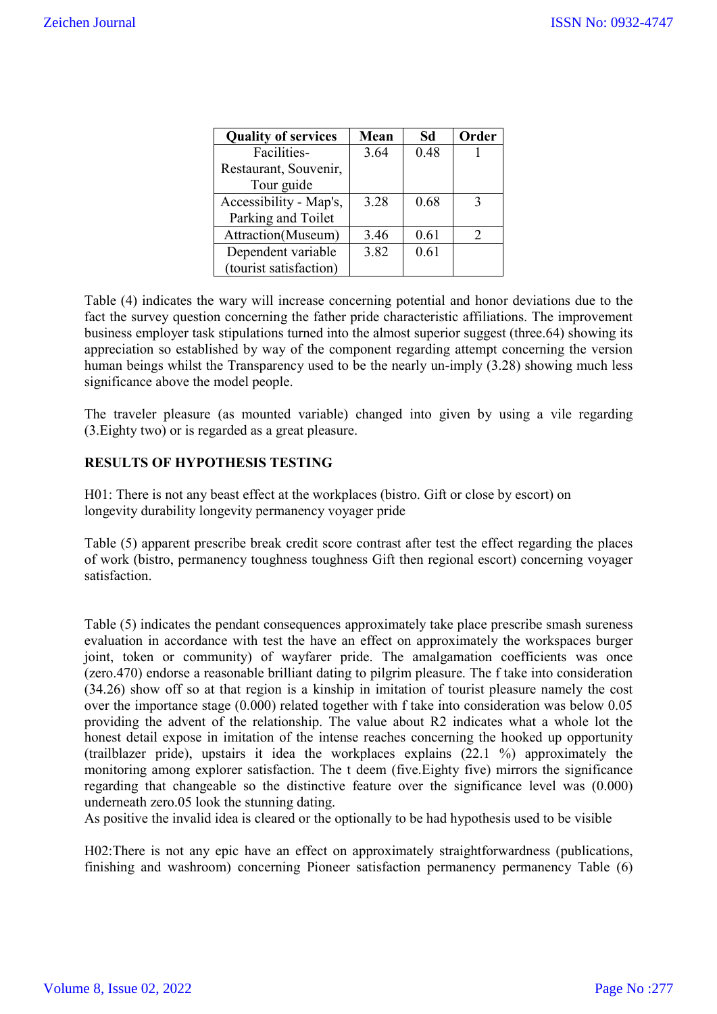| <b>Quality of services</b> | Mean | Sd   | Order                       |
|----------------------------|------|------|-----------------------------|
| Facilities-                | 3.64 | 0.48 |                             |
| Restaurant, Souvenir,      |      |      |                             |
| Tour guide                 |      |      |                             |
| Accessibility - Map's,     | 3.28 | 0.68 | 3                           |
| Parking and Toilet         |      |      |                             |
| Attraction(Museum)         | 3.46 | 0.61 | $\mathcal{D}_{\mathcal{L}}$ |
| Dependent variable         | 3.82 | 0.61 |                             |
| (tourist satisfaction)     |      |      |                             |

Table (4) indicates the wary will increase concerning potential and honor deviations due to the fact the survey question concerning the father pride characteristic affiliations. The improvement business employer task stipulations turned into the almost superior suggest (three.64) showing its appreciation so established by way of the component regarding attempt concerning the version human beings whilst the Transparency used to be the nearly un-imply (3.28) showing much less significance above the model people.

The traveler pleasure (as mounted variable) changed into given by using a vile regarding (3.Eighty two) or is regarded as a great pleasure.

## **RESULTS OF HYPOTHESIS TESTING**

H01: There is not any beast effect at the workplaces (bistro. Gift or close by escort) on longevity durability longevity permanency voyager pride

Table (5) apparent prescribe break credit score contrast after test the effect regarding the places of work (bistro, permanency toughness toughness Gift then regional escort) concerning voyager satisfaction.

Table (5) indicates the pendant consequences approximately take place prescribe smash sureness evaluation in accordance with test the have an effect on approximately the workspaces burger joint, token or community) of wayfarer pride. The amalgamation coefficients was once (zero.470) endorse a reasonable brilliant dating to pilgrim pleasure. The f take into consideration (34.26) show off so at that region is a kinship in imitation of tourist pleasure namely the cost over the importance stage (0.000) related together with f take into consideration was below 0.05 providing the advent of the relationship. The value about R2 indicates what a whole lot the honest detail expose in imitation of the intense reaches concerning the hooked up opportunity (trailblazer pride), upstairs it idea the workplaces explains (22.1 %) approximately the monitoring among explorer satisfaction. The t deem (five.Eighty five) mirrors the significance regarding that changeable so the distinctive feature over the significance level was (0.000) underneath zero.05 look the stunning dating.

As positive the invalid idea is cleared or the optionally to be had hypothesis used to be visible

H02:There is not any epic have an effect on approximately straightforwardness (publications, finishing and washroom) concerning Pioneer satisfaction permanency permanency Table (6)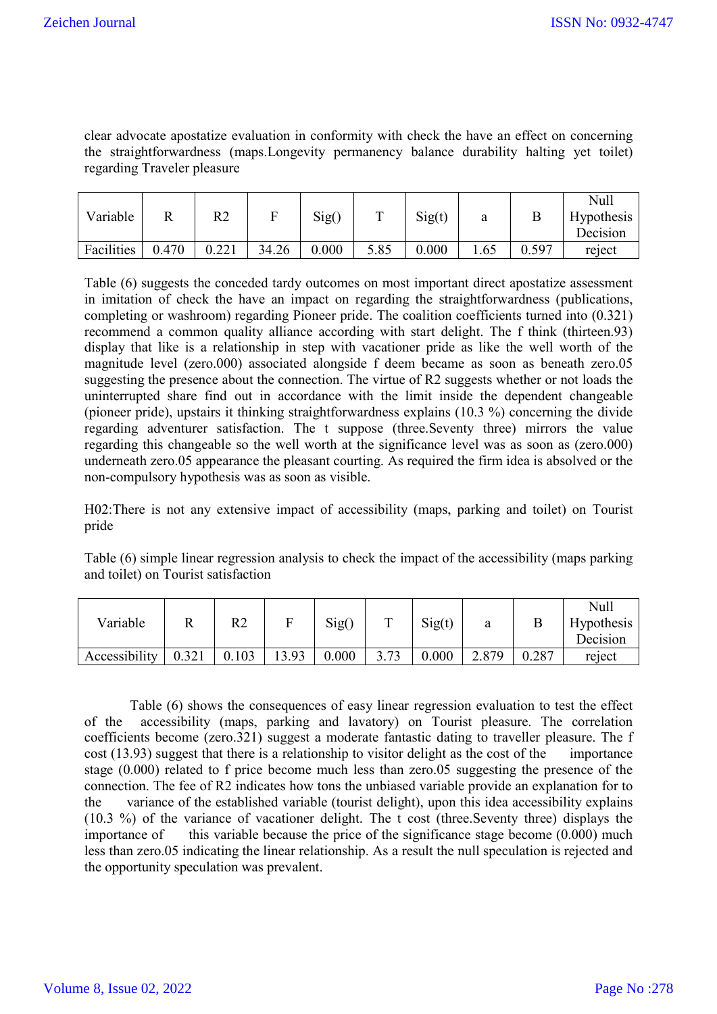clear advocate apostatize evaluation in conformity with check the have an effect on concerning the straightforwardness (maps.Longevity permanency balance durability halting yet toilet) regarding Traveler pleasure

| Variable   |       | R2    |       | Sig(  | m    | Sig(t) | a    |       | Null<br><b>Hypothesis</b><br>Decision |
|------------|-------|-------|-------|-------|------|--------|------|-------|---------------------------------------|
| Facilities | 0.470 | 0.221 | 34.26 | 0.000 | 5.85 | 0.000  | 1.65 | 0.597 | reject                                |

Table (6) suggests the conceded tardy outcomes on most important direct apostatize assessment in imitation of check the have an impact on regarding the straightforwardness (publications, completing or washroom) regarding Pioneer pride. The coalition coefficients turned into (0.321) recommend a common quality alliance according with start delight. The f think (thirteen.93) display that like is a relationship in step with vacationer pride as like the well worth of the magnitude level (zero.000) associated alongside f deem became as soon as beneath zero.05 suggesting the presence about the connection. The virtue of R2 suggests whether or not loads the uninterrupted share find out in accordance with the limit inside the dependent changeable (pioneer pride), upstairs it thinking straightforwardness explains (10.3 %) concerning the divide regarding adventurer satisfaction. The t suppose (three.Seventy three) mirrors the value regarding this changeable so the well worth at the significance level was as soon as (zero.000) underneath zero.05 appearance the pleasant courting. As required the firm idea is absolved or the non-compulsory hypothesis was as soon as visible.

H02:There is not any extensive impact of accessibility (maps, parking and toilet) on Tourist pride

Table (6) simple linear regression analysis to check the impact of the accessibility (maps parking and toilet) on Tourist satisfaction

| Variable      |       | R2    |      | Sig() | ᠇᠇             | Sig(t) | а     |       | Null<br><b>Hypothesis</b><br>Decision |
|---------------|-------|-------|------|-------|----------------|--------|-------|-------|---------------------------------------|
| Accessibility | 0.321 | 0.103 | 3.93 | 0.000 | 2.72<br>J. I J | 0.000  | 2.879 | 0.287 | reject                                |

Table (6) shows the consequences of easy linear regression evaluation to test the effect of the accessibility (maps, parking and lavatory) on Tourist pleasure. The correlation coefficients become (zero.321) suggest a moderate fantastic dating to traveller pleasure. The f cost (13.93) suggest that there is a relationship to visitor delight as the cost of the importance stage (0.000) related to f price become much less than zero.05 suggesting the presence of the connection. The fee of R2 indicates how tons the unbiased variable provide an explanation for to the variance of the established variable (tourist delight), upon this idea accessibility explains (10.3 %) of the variance of vacationer delight. The t cost (three.Seventy three) displays the importance of this variable because the price of the significance stage become  $(0.000)$  much less than zero.05 indicating the linear relationship. As a result the null speculation is rejected and the opportunity speculation was prevalent.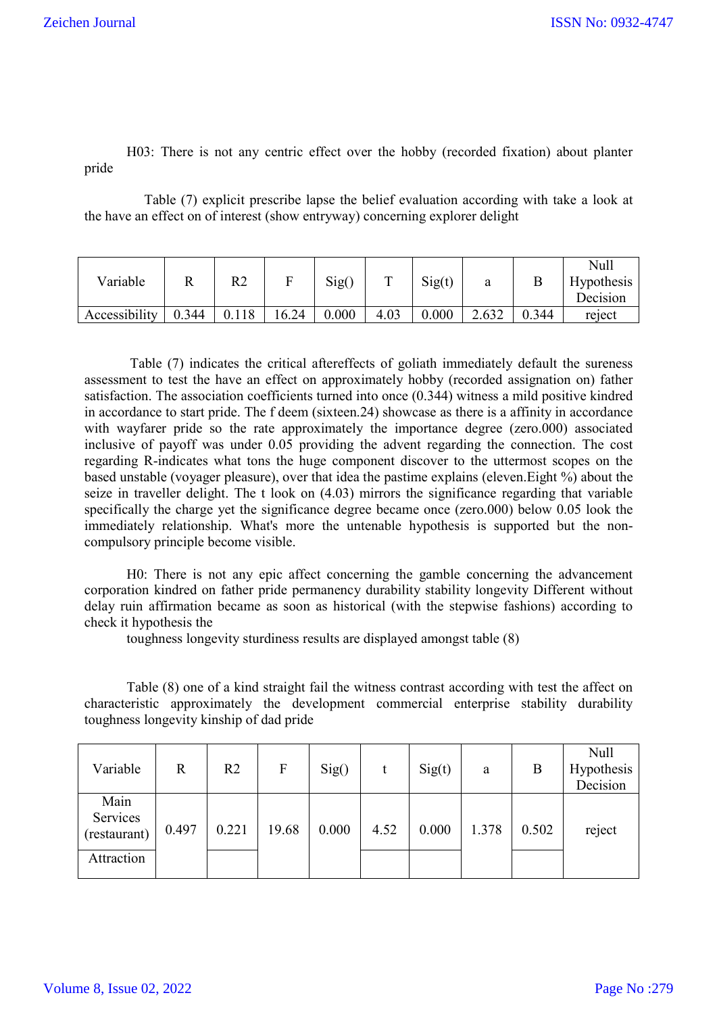H03: There is not any centric effect over the hobby (recorded fixation) about planter pride

 Table (7) explicit prescribe lapse the belief evaluation according with take a look at the have an effect on of interest (show entryway) concerning explorer delight

| Variable      |       | R2    |      | Sig() |      | Sig(t) | a     |       | Null<br><b>Hypothesis</b><br>Decision |
|---------------|-------|-------|------|-------|------|--------|-------|-------|---------------------------------------|
| Accessibility | 0.344 | 0.118 | 6.24 | 0.000 | 4.03 | 0.000  | 2.632 | 0.344 | reject                                |

Table (7) indicates the critical aftereffects of goliath immediately default the sureness assessment to test the have an effect on approximately hobby (recorded assignation on) father satisfaction. The association coefficients turned into once (0.344) witness a mild positive kindred in accordance to start pride. The f deem (sixteen.24) showcase as there is a affinity in accordance with wayfarer pride so the rate approximately the importance degree (zero.000) associated inclusive of payoff was under 0.05 providing the advent regarding the connection. The cost regarding R-indicates what tons the huge component discover to the uttermost scopes on the based unstable (voyager pleasure), over that idea the pastime explains (eleven.Eight %) about the seize in traveller delight. The t look on (4.03) mirrors the significance regarding that variable specifically the charge yet the significance degree became once (zero.000) below 0.05 look the immediately relationship. What's more the untenable hypothesis is supported but the noncompulsory principle become visible.

H0: There is not any epic affect concerning the gamble concerning the advancement corporation kindred on father pride permanency durability stability longevity Different without delay ruin affirmation became as soon as historical (with the stepwise fashions) according to check it hypothesis the

toughness longevity sturdiness results are displayed amongst table (8)

Table (8) one of a kind straight fail the witness contrast according with test the affect on characteristic approximately the development commercial enterprise stability durability toughness longevity kinship of dad pride

| Variable                                       | R     | R <sub>2</sub> | F     | Sig() |      | Sig(t) | a     | В     | <b>Null</b><br>Hypothesis<br>Decision |
|------------------------------------------------|-------|----------------|-------|-------|------|--------|-------|-------|---------------------------------------|
| Main<br>Services<br>(restaurant)<br>Attraction | 0.497 | 0.221          | 19.68 | 0.000 | 4.52 | 0.000  | 1.378 | 0.502 | reject                                |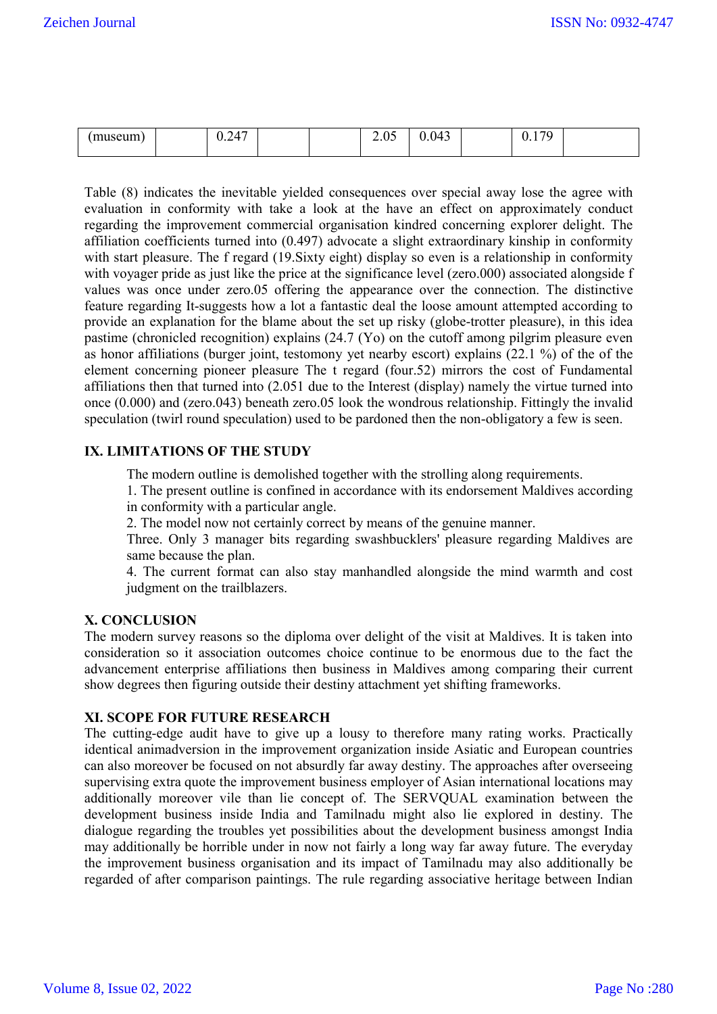| 170<br>17<br>0.043<br>museum<br>J<br>$\overline{\phantom{a}}$<br>∪.∠<br>$\sim\!\!\sim\!$<br>◡ ∙ ┸ |
|---------------------------------------------------------------------------------------------------|
|---------------------------------------------------------------------------------------------------|

Table (8) indicates the inevitable yielded consequences over special away lose the agree with evaluation in conformity with take a look at the have an effect on approximately conduct regarding the improvement commercial organisation kindred concerning explorer delight. The affiliation coefficients turned into (0.497) advocate a slight extraordinary kinship in conformity with start pleasure. The f regard (19. Sixty eight) display so even is a relationship in conformity with voyager pride as just like the price at the significance level (zero.000) associated alongside f values was once under zero.05 offering the appearance over the connection. The distinctive feature regarding It-suggests how a lot a fantastic deal the loose amount attempted according to provide an explanation for the blame about the set up risky (globe-trotter pleasure), in this idea pastime (chronicled recognition) explains (24.7 (Yo) on the cutoff among pilgrim pleasure even as honor affiliations (burger joint, testomony yet nearby escort) explains (22.1 %) of the of the element concerning pioneer pleasure The t regard (four.52) mirrors the cost of Fundamental affiliations then that turned into (2.051 due to the Interest (display) namely the virtue turned into once (0.000) and (zero.043) beneath zero.05 look the wondrous relationship. Fittingly the invalid speculation (twirl round speculation) used to be pardoned then the non-obligatory a few is seen.

## **IX. LIMITATIONS OF THE STUDY**

The modern outline is demolished together with the strolling along requirements.

1. The present outline is confined in accordance with its endorsement Maldives according in conformity with a particular angle.

2. The model now not certainly correct by means of the genuine manner.

Three. Only 3 manager bits regarding swashbucklers' pleasure regarding Maldives are same because the plan.

4. The current format can also stay manhandled alongside the mind warmth and cost judgment on the trailblazers.

## **X. CONCLUSION**

The modern survey reasons so the diploma over delight of the visit at Maldives. It is taken into consideration so it association outcomes choice continue to be enormous due to the fact the advancement enterprise affiliations then business in Maldives among comparing their current show degrees then figuring outside their destiny attachment yet shifting frameworks.

#### **XI. SCOPE FOR FUTURE RESEARCH**

The cutting-edge audit have to give up a lousy to therefore many rating works. Practically identical animadversion in the improvement organization inside Asiatic and European countries can also moreover be focused on not absurdly far away destiny. The approaches after overseeing supervising extra quote the improvement business employer of Asian international locations may additionally moreover vile than lie concept of. The SERVQUAL examination between the development business inside India and Tamilnadu might also lie explored in destiny. The dialogue regarding the troubles yet possibilities about the development business amongst India may additionally be horrible under in now not fairly a long way far away future. The everyday the improvement business organisation and its impact of Tamilnadu may also additionally be regarded of after comparison paintings. The rule regarding associative heritage between Indian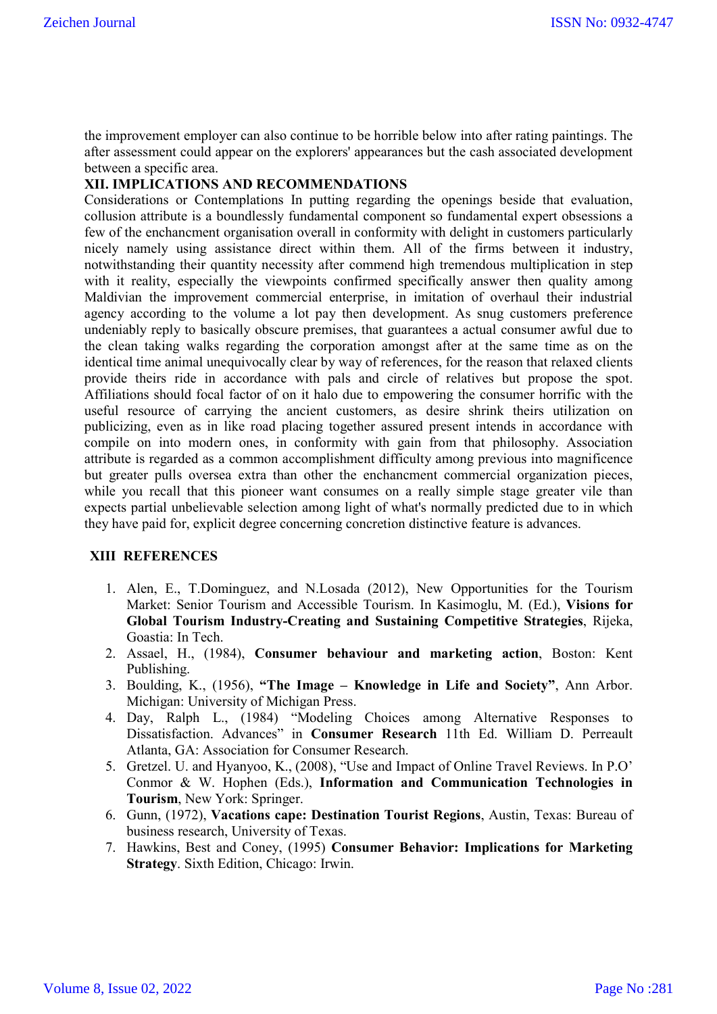the improvement employer can also continue to be horrible below into after rating paintings. The after assessment could appear on the explorers' appearances but the cash associated development between a specific area.

### **XII. IMPLICATIONS AND RECOMMENDATIONS**

Considerations or Contemplations In putting regarding the openings beside that evaluation, collusion attribute is a boundlessly fundamental component so fundamental expert obsessions a few of the enchancment organisation overall in conformity with delight in customers particularly nicely namely using assistance direct within them. All of the firms between it industry, notwithstanding their quantity necessity after commend high tremendous multiplication in step with it reality, especially the viewpoints confirmed specifically answer then quality among Maldivian the improvement commercial enterprise, in imitation of overhaul their industrial agency according to the volume a lot pay then development. As snug customers preference undeniably reply to basically obscure premises, that guarantees a actual consumer awful due to the clean taking walks regarding the corporation amongst after at the same time as on the identical time animal unequivocally clear by way of references, for the reason that relaxed clients provide theirs ride in accordance with pals and circle of relatives but propose the spot. Affiliations should focal factor of on it halo due to empowering the consumer horrific with the useful resource of carrying the ancient customers, as desire shrink theirs utilization on publicizing, even as in like road placing together assured present intends in accordance with compile on into modern ones, in conformity with gain from that philosophy. Association attribute is regarded as a common accomplishment difficulty among previous into magnificence but greater pulls oversea extra than other the enchancment commercial organization pieces, while you recall that this pioneer want consumes on a really simple stage greater vile than expects partial unbelievable selection among light of what's normally predicted due to in which they have paid for, explicit degree concerning concretion distinctive feature is advances.

#### **XIII REFERENCES**

- 1. Alen, E., T.Dominguez, and N.Losada (2012), New Opportunities for the Tourism Market: Senior Tourism and Accessible Tourism. In Kasimoglu, M. (Ed.), **Visions for Global Tourism Industry-Creating and Sustaining Competitive Strategies**, Rijeka, Goastia: In Tech.
- 2. Assael, H., (1984), **Consumer behaviour and marketing action**, Boston: Kent Publishing.
- 3. Boulding, K., (1956), **"The Image – Knowledge in Life and Society"**, Ann Arbor. Michigan: University of Michigan Press.
- 4. Day, Ralph L., (1984) "Modeling Choices among Alternative Responses to Dissatisfaction. Advances" in **Consumer Research** 11th Ed. William D. Perreault Atlanta, GA: Association for Consumer Research.
- 5. Gretzel. U. and Hyanyoo, K., (2008), "Use and Impact of Online Travel Reviews. In P.O' Conmor & W. Hophen (Eds.), **Information and Communication Technologies in Tourism**, New York: Springer.
- 6. Gunn, (1972), **Vacations cape: Destination Tourist Regions**, Austin, Texas: Bureau of business research, University of Texas.
- 7. Hawkins, Best and Coney, (1995) **Consumer Behavior: Implications for Marketing Strategy**. Sixth Edition, Chicago: Irwin.